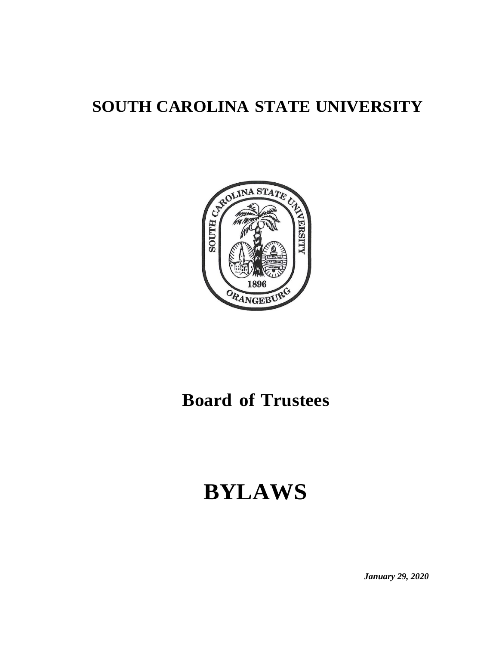# **SOUTH CAROLINA STATE UNIVERSITY**



# **Board of Trustees**

# **BYLAWS**

*January 29, 2020*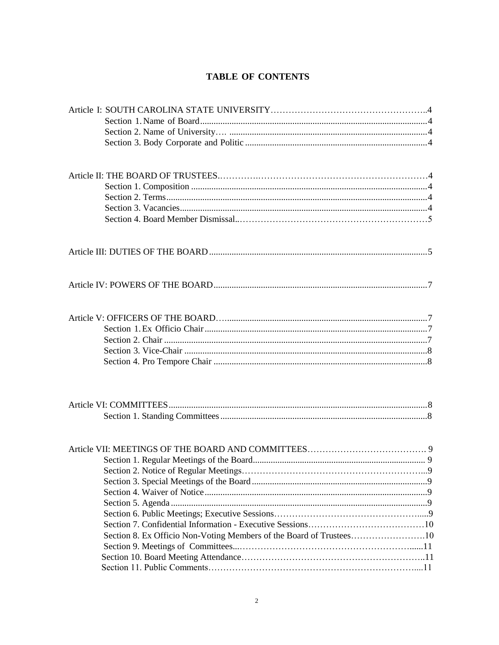# **TABLE OF CONTENTS**

| Section 8. Ex Officio Non-Voting Members of the Board of Trustees10 |  |
|---------------------------------------------------------------------|--|
|                                                                     |  |
|                                                                     |  |
|                                                                     |  |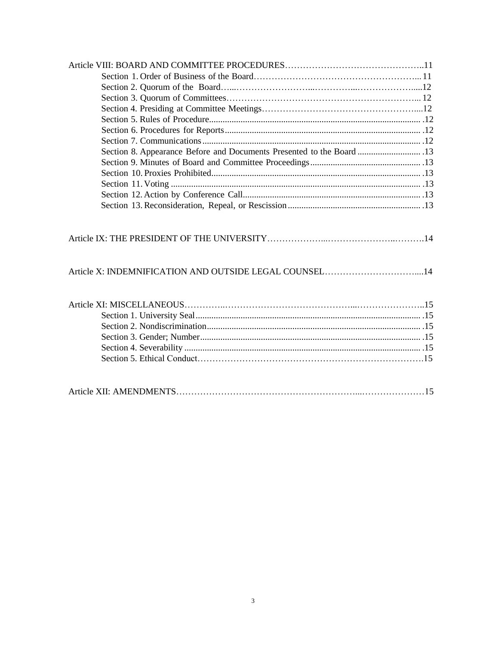| Section 8. Appearance Before and Documents Presented to the Board  13 |  |
|-----------------------------------------------------------------------|--|
|                                                                       |  |
|                                                                       |  |
|                                                                       |  |
|                                                                       |  |
|                                                                       |  |
| Article X: INDEMNIFICATION AND OUTSIDE LEGAL COUNSEL14                |  |
|                                                                       |  |
|                                                                       |  |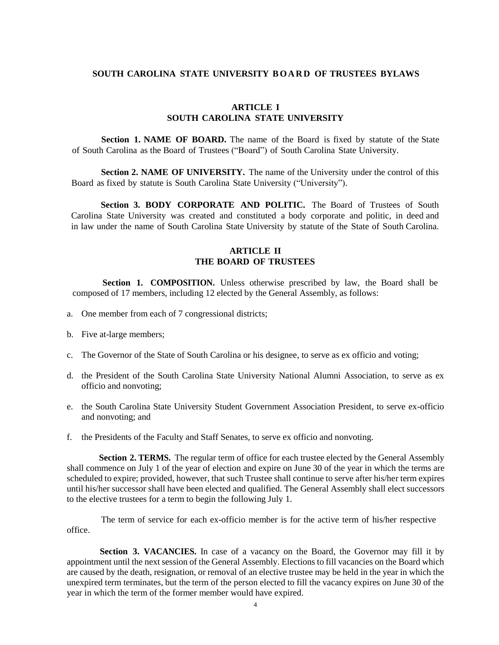## **SOUTH CAROLINA STATE UNIVERSITY B O A R D OF TRUSTEES BYLAWS**

# **ARTICLE I SOUTH CAROLINA STATE UNIVERSITY**

**Section 1. NAME OF BOARD.** The name of the Board is fixed by statute of the State of South Carolina as the Board of Trustees ("Board") of South Carolina State University.

**Section 2. NAME OF UNIVERSITY.** The name of the University under the control of this Board as fixed by statute is South Carolina State University ("University").

**Section 3. BODY CORPORATE AND POLITIC.** The Board of Trustees of South Carolina State University was created and constituted a body corporate and politic, in deed and in law under the name of South Carolina State University by statute of the State of South Carolina.

## **ARTICLE II THE BOARD OF TRUSTEES**

**Section 1. COMPOSITION.** Unless otherwise prescribed by law, the Board shall be composed of 17 members, including 12 elected by the General Assembly, as follows:

- a. One member from each of 7 congressional districts;
- b. Five at-large members;
- c. The Governor of the State of South Carolina or his designee, to serve as ex officio and voting;
- d. the President of the South Carolina State University National Alumni Association, to serve as ex officio and nonvoting;
- e. the South Carolina State University Student Government Association President, to serve ex-officio and nonvoting; and
- f. the Presidents of the Faculty and Staff Senates, to serve ex officio and nonvoting.

**Section 2. TERMS.** The regular term of office for each trustee elected by the General Assembly shall commence on July 1 of the year of election and expire on June 30 of the year in which the terms are scheduled to expire; provided, however, that such Trustee shall continue to serve after his/her term expires until his/her successor shall have been elected and qualified. The General Assembly shall elect successors to the elective trustees for a term to begin the following July 1.

The term of service for each ex-officio member is for the active term of his/her respective office.

**Section 3. VACANCIES.** In case of a vacancy on the Board, the Governor may fill it by appointment until the next session of the General Assembly. Elections to fill vacancies on the Board which are caused by the death, resignation, or removal of an elective trustee may be held in the year in which the unexpired term terminates, but the term of the person elected to fill the vacancy expires on June 30 of the year in which the term of the former member would have expired.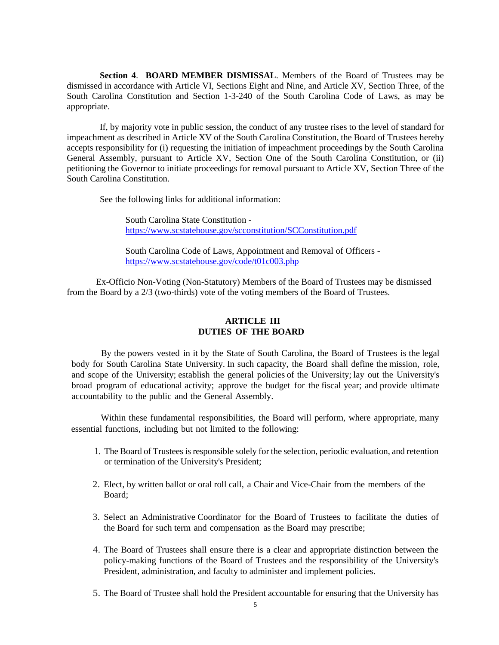**Section 4**. **BOARD MEMBER DISMISSAL**. Members of the Board of Trustees may be dismissed in accordance with Article VI, Sections Eight and Nine, and Article XV, Section Three, of the South Carolina Constitution and Section 1-3-240 of the South Carolina Code of Laws, as may be appropriate.

If, by majority vote in public session, the conduct of any trustee rises to the level of standard for impeachment as described in Article XV of the South Carolina Constitution, the Board of Trustees hereby accepts responsibility for (i) requesting the initiation of impeachment proceedings by the South Carolina General Assembly, pursuant to Article XV, Section One of the South Carolina Constitution, or (ii) petitioning the Governor to initiate proceedings for removal pursuant to Article XV, Section Three of the South Carolina Constitution.

See the following links for additional information:

South Carolina State Constitution <https://www.scstatehouse.gov/scconstitution/SCConstitution.pdf>

South Carolina Code of Laws, Appointment and Removal of Officers <https://www.scstatehouse.gov/code/t01c003.php>

<span id="page-4-0"></span>Ex-Officio Non-Voting (Non-Statutory) Members of the Board of Trustees may be dismissed from the Board by a 2/3 (two-thirds) vote of the voting members of the Board of Trustees.

# **ARTICLE III DUTIES OF THE BOARD**

By the powers vested in it by the State of South Carolina, the Board of Trustees is the legal body for South Carolina State University. In such capacity, the Board shall define the mission, role, and scope of the University; establish the general policies of the University; lay out the University's broad program of educational activity; approve the budget for the fiscal year; and provide ultimate accountability to the public and the General Assembly.

Within these fundamental responsibilities, the Board will perform, where appropriate, many essential functions, including but not limited to the following:

- 1. The Board of Trustees is responsible solely for the selection, periodic evaluation, and retention or termination of the University's President;
- 2. Elect, by written ballot or oral roll call, a Chair and Vice-Chair from the members of the Board;
- 3. Select an Administrative Coordinator for the Board of Trustees to facilitate the duties of the Board for such term and compensation as the Board may prescribe;
- 4. The Board of Trustees shall ensure there is a clear and appropriate distinction between the policy-making functions of the Board of Trustees and the responsibility of the University's President, administration, and faculty to administer and implement policies.
- 5. The Board of Trustee shall hold the President accountable for ensuring that the University has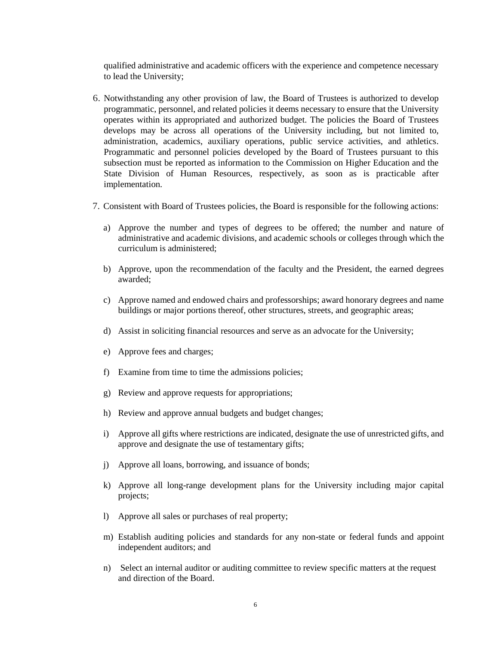qualified administrative and academic officers with the experience and competence necessary to lead the University;

- 6. Notwithstanding any other provision of law, the Board of Trustees is authorized to develop programmatic, personnel, and related policies it deems necessary to ensure that the University operates within its appropriated and authorized budget. The policies the Board of Trustees develops may be across all operations of the University including, but not limited to, administration, academics, auxiliary operations, public service activities, and athletics. Programmatic and personnel policies developed by the Board of Trustees pursuant to this subsection must be reported as information to the Commission on Higher Education and the State Division of Human Resources, respectively, as soon as is practicable after implementation.
- 7. Consistent with Board of Trustees policies, the Board is responsible for the following actions:
	- a) Approve the number and types of degrees to be offered; the number and nature of administrative and academic divisions, and academic schools or colleges through which the curriculum is administered;
	- b) Approve, upon the recommendation of the faculty and the President, the earned degrees awarded;
	- c) Approve named and endowed chairs and professorships; award honorary degrees and name buildings or major portions thereof, other structures, streets, and geographic areas;
	- d) Assist in soliciting financial resources and serve as an advocate for the University;
	- e) Approve fees and charges;
	- f) Examine from time to time the admissions policies;
	- g) Review and approve requests for appropriations;
	- h) Review and approve annual budgets and budget changes;
	- i) Approve all gifts where restrictions are indicated, designate the use of unrestricted gifts, and approve and designate the use of testamentary gifts;
	- j) Approve all loans, borrowing, and issuance of bonds;
	- k) Approve all long-range development plans for the University including major capital projects;
	- l) Approve all sales or purchases of real property;
	- m) Establish auditing policies and standards for any non-state or federal funds and appoint independent auditors; and
	- n) Select an internal auditor or auditing committee to review specific matters at the request and direction of the Board.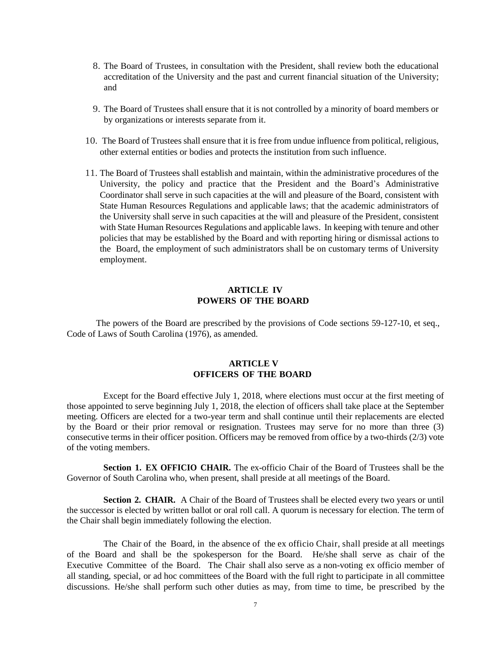- 8. The Board of Trustees, in consultation with the President, shall review both the educational accreditation of the University and the past and current financial situation of the University; and
- 9. The Board of Trustees shall ensure that it is not controlled by a minority of board members or by organizations or interests separate from it.
- 10. The Board of Trustees shall ensure that it is free from undue influence from political, religious, other external entities or bodies and protects the institution from such influence.
- 11. The Board of Trustees shall establish and maintain, within the administrative procedures of the University, the policy and practice that the President and the Board's Administrative Coordinator shall serve in such capacities at the will and pleasure of the Board, consistent with State Human Resources Regulations and applicable laws; that the academic administrators of the University shall serve in such capacities at the will and pleasure of the President, consistent with State Human Resources Regulations and applicable laws. In keeping with tenure and other policies that may be established by the Board and with reporting hiring or dismissal actions to the Board, the employment of such administrators shall be on customary terms of University employment.

## **ARTICLE IV POWERS OF THE BOARD**

<span id="page-6-0"></span>The powers of the Board are prescribed by the provisions of Code sections 59-127-10, et seq., Code of Laws of South Carolina (1976), as amended.

# **ARTICLE V OFFICERS OF THE BOARD**

<span id="page-6-1"></span>Except for the Board effective July 1, 2018, where elections must occur at the first meeting of those appointed to serve beginning July 1, 2018, the election of officers shall take place at the September meeting. Officers are elected for a two-year term and shall continue until their replacements are elected by the Board or their prior removal or resignation. Trustees may serve for no more than three (3) consecutive terms in their officer position. Officers may be removed from office by a two-thirds (2/3) vote of the voting members.

**Section 1. EX OFFICIO CHAIR.** The ex-officio Chair of the Board of Trustees shall be the Governor of South Carolina who, when present, shall preside at all meetings of the Board.

**Section 2. CHAIR.** A Chair of the Board of Trustees shall be elected every two years or until the successor is elected by written ballot or oral roll call. A quorum is necessary for election. The term of the Chair shall begin immediately following the election.

The Chair of the Board, in the absence of the ex officio Chair, shall preside at all meetings of the Board and shall be the spokesperson for the Board. He/she shall serve as chair of the Executive Committee of the Board. The Chair shall also serve as a non-voting ex officio member of all standing, special, or ad hoc committees of the Board with the full right to participate in all committee discussions. He/she shall perform such other duties as may, from time to time, be prescribed by the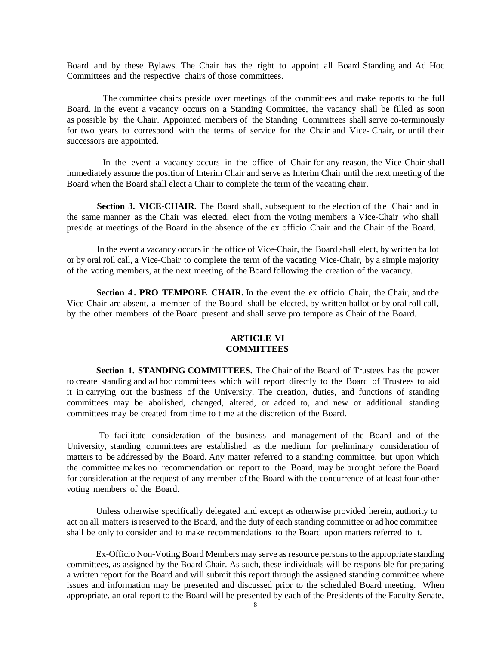Board and by these Bylaws. The Chair has the right to appoint all Board Standing and Ad Hoc Committees and the respective chairs of those committees.

The committee chairs preside over meetings of the committees and make reports to the full Board. In the event a vacancy occurs on a Standing Committee, the vacancy shall be filled as soon as possible by the Chair. Appointed members of the Standing Committees shall serve co-terminously for two years to correspond with the terms of service for the Chair and Vice- Chair, or until their successors are appointed.

In the event a vacancy occurs in the office of Chair for any reason, the Vice-Chair shall immediately assume the position of Interim Chair and serve as Interim Chair until the next meeting of the Board when the Board shall elect a Chair to complete the term of the vacating chair.

**Section 3. VICE-CHAIR.** The Board shall, subsequent to the election of the Chair and in the same manner as the Chair was elected, elect from the voting members a Vice-Chair who shall preside at meetings of the Board in the absence of the ex officio Chair and the Chair of the Board.

In the event a vacancy occurs in the office of Vice-Chair, the Board shall elect, by written ballot or by oral roll call, a Vice-Chair to complete the term of the vacating Vice-Chair, by a simple majority of the voting members, at the next meeting of the Board following the creation of the vacancy.

**Section 4 . PRO TEMPORE CHAIR.** In the event the ex officio Chair, the Chair, and the Vice-Chair are absent, a member of the Board shall be elected, by written ballot or by oral roll call, by the other members of the Board present and shall serve pro tempore as Chair of the Board.

#### **ARTICLE VI COMMITTEES**

<span id="page-7-0"></span>**Section 1. STANDING COMMITTEES.** The Chair of the Board of Trustees has the power to create standing and ad hoc committees which will report directly to the Board of Trustees to aid it in carrying out the business of the University. The creation, duties, and functions of standing committees may be abolished, changed, altered, or added to, and new or additional standing committees may be created from time to time at the discretion of the Board.

To facilitate consideration of the business and management of the Board and of the University, standing committees are established as the medium for preliminary consideration of matters to be addressed by the Board. Any matter referred to a standing committee, but upon which the committee makes no recommendation or report to the Board, may be brought before the Board for consideration at the request of any member of the Board with the concurrence of at least four other voting members of the Board.

Unless otherwise specifically delegated and except as otherwise provided herein, authority to act on all matters isreserved to the Board, and the duty of each standing committee or ad hoc committee shall be only to consider and to make recommendations to the Board upon matters referred to it.

Ex-Officio Non-Voting Board Members may serve as resource persons to the appropriate standing committees, as assigned by the Board Chair. As such, these individuals will be responsible for preparing a written report for the Board and will submit this report through the assigned standing committee where issues and information may be presented and discussed prior to the scheduled Board meeting. When appropriate, an oral report to the Board will be presented by each of the Presidents of the Faculty Senate,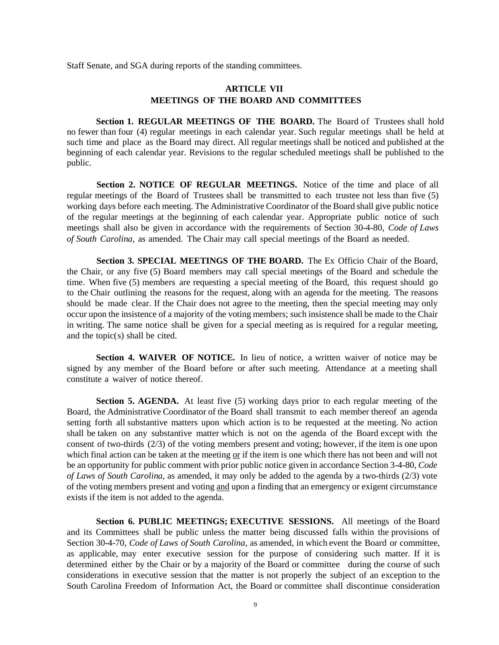Staff Senate, and SGA during reports of the standing committees.

# **ARTICLE VII MEETINGS OF THE BOARD AND COMMITTEES**

**Section 1. REGULAR MEETINGS OF THE BOARD.** The Board of Trustees shall hold no fewer than four (4) regular meetings in each calendar year. Such regular meetings shall be held at such time and place as the Board may direct. All regular meetings shall be noticed and published at the beginning of each calendar year. Revisions to the regular scheduled meetings shall be published to the public.

**Section 2. NOTICE OF REGULAR MEETINGS.** Notice of the time and place of all regular meetings of the Board of Trustees shall be transmitted to each trustee not less than five (5) working days before each meeting. The Administrative Coordinator of the Board shall give public notice of the regular meetings at the beginning of each calendar year. Appropriate public notice of such meetings shall also be given in accordance with the requirements of Section 30-4-80, *Code of Laws of South Carolina*, as amended. The Chair may call special meetings of the Board as needed.

**Section 3. SPECIAL MEETINGS OF THE BOARD.** The Ex Officio Chair of the Board, the Chair, or any five (5) Board members may call special meetings of the Board and schedule the time. When five (5) members are requesting a special meeting of the Board, this request should go to the Chair outlining the reasons for the request, along with an agenda for the meeting. The reasons should be made clear. If the Chair does not agree to the meeting, then the special meeting may only occur upon the insistence of a majority of the voting members; such insistence shall be made to the Chair in writing. The same notice shall be given for a special meeting as is required for a regular meeting, and the topic(s) shall be cited.

**Section 4. WAIVER OF NOTICE.** In lieu of notice, a written waiver of notice may be signed by any member of the Board before or after such meeting. Attendance at a meeting shall constitute a waiver of notice thereof.

**Section 5. AGENDA.** At least five (5) working days prior to each regular meeting of the Board, the Administrative Coordinator of the Board shall transmit to each member thereof an agenda setting forth all substantive matters upon which action is to be requested at the meeting. No action shall be taken on any substantive matter which is not on the agenda of the Board except with the consent of two-thirds (2/3) of the voting members present and voting; however, if the item is one upon which final action can be taken at the meeting  $or$  if the item is one which there has not been and will not</u> be an opportunity for public comment with prior public notice given in accordance Section 3-4-80, *Code of Laws of South Carolina*, as amended, it may only be added to the agenda by a two-thirds (2/3) vote of the voting members present and voting and upon a finding that an emergency or exigent circumstance exists if the item is not added to the agenda.

**Section 6. PUBLIC MEETINGS; EXECUTIVE SESSIONS.** All meetings of the Board and its Committees shall be public unless the matter being discussed falls within the provisions of Section 30-4-70, *Code of Laws of South Carolina*, as amended, in which event the Board or committee, as applicable, may enter executive session for the purpose of considering such matter. If it is determined either by the Chair or by a majority of the Board or committee during the course of such considerations in executive session that the matter is not properly the subject of an exception to the South Carolina Freedom of Information Act, the Board or committee shall discontinue consideration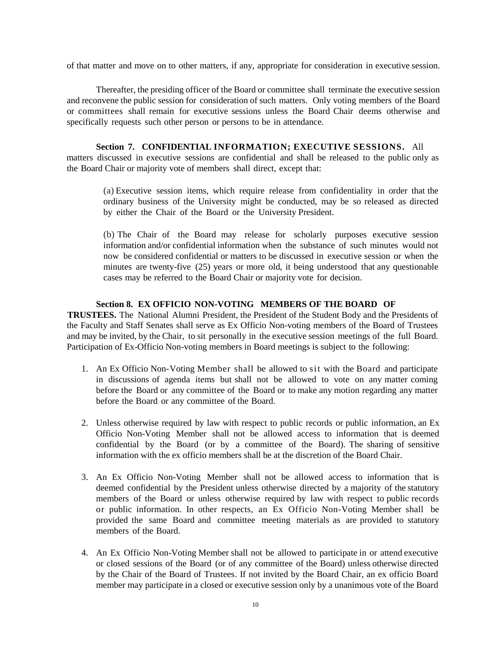of that matter and move on to other matters, if any, appropriate for consideration in executive session.

Thereafter, the presiding officer of the Board or committee shall terminate the executive session and reconvene the public session for consideration of such matters. Only voting members of the Board or committees shall remain for executive sessions unless the Board Chair deems otherwise and specifically requests such other person or persons to be in attendance.

#### **Section 7. CONFIDENTIAL INFORMATION; EXECUTIVE SESSIONS.** All

matters discussed in executive sessions are confidential and shall be released to the public only as the Board Chair or majority vote of members shall direct, except that:

(a) Executive session items, which require release from confidentiality in order that the ordinary business of the University might be conducted, may be so released as directed by either the Chair of the Board or the University President.

(b) The Chair of the Board may release for scholarly purposes executive session information and/or confidential information when the substance of such minutes would not now be considered confidential or matters to be discussed in executive session or when the minutes are twenty-five (25) years or more old, it being understood that any questionable cases may be referred to the Board Chair or majority vote for decision.

### **Section 8. EX OFFICIO NON-VOTING MEMBERS OF THE BOARD OF**

**TRUSTEES.** The National Alumni President, the President of the Student Body and the Presidents of the Faculty and Staff Senates shall serve as Ex Officio Non-voting members of the Board of Trustees and may be invited, by the Chair, to sit personally in the executive session meetings of the full Board. Participation of Ex-Officio Non-voting members in Board meetings is subject to the following:

- 1. An Ex Officio Non-Voting Member shall be allowed to sit with the Board and participate in discussions of agenda items but shall not be allowed to vote on any matter coming before the Board or any committee of the Board or to make any motion regarding any matter before the Board or any committee of the Board.
- 2. Unless otherwise required by law with respect to public records or public information, an Ex Officio Non-Voting Member shall not be allowed access to information that is deemed confidential by the Board (or by a committee of the Board). The sharing of sensitive information with the ex officio members shall be at the discretion of the Board Chair.
- 3. An Ex Officio Non-Voting Member shall not be allowed access to information that is deemed confidential by the President unless otherwise directed by a majority of the statutory members of the Board or unless otherwise required by law with respect to public records or public information. In other respects, an Ex Officio Non-Voting Member shall be provided the same Board and committee meeting materials as are provided to statutory members of the Board.
- 4. An Ex Officio Non-Voting Member shall not be allowed to participate in or attend executive or closed sessions of the Board (or of any committee of the Board) unless otherwise directed by the Chair of the Board of Trustees. If not invited by the Board Chair, an ex officio Board member may participate in a closed or executive session only by a unanimous vote of the Board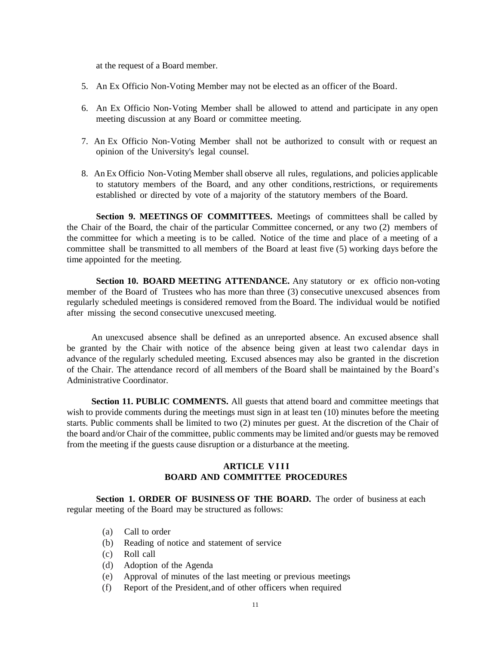at the request of a Board member.

- 5. An Ex Officio Non-Voting Member may not be elected as an officer of the Board.
- 6. An Ex Officio Non-Voting Member shall be allowed to attend and participate in any open meeting discussion at any Board or committee meeting.
- 7. An Ex Officio Non-Voting Member shall not be authorized to consult with or request an opinion of the University's legal counsel.
- 8. An Ex Officio Non-Voting Member shall observe all rules, regulations, and policies applicable to statutory members of the Board, and any other conditions, restrictions, or requirements established or directed by vote of a majority of the statutory members of the Board.

**Section 9. MEETINGS OF COMMITTEES.** Meetings of committees shall be called by the Chair of the Board, the chair of the particular Committee concerned, or any two (2) members of the committee for which a meeting is to be called. Notice of the time and place of a meeting of a committee shall be transmitted to all members of the Board at least five (5) working days before the time appointed for the meeting.

**Section 10. BOARD MEETING ATTENDANCE.** Any statutory or ex officio non-voting member of the Board of Trustees who has more than three (3) consecutive unexcused absences from regularly scheduled meetings is considered removed from the Board. The individual would be notified after missing the second consecutive unexcused meeting.

An unexcused absence shall be defined as an unreported absence. An excused absence shall be granted by the Chair with notice of the absence being given at least two calendar days in advance of the regularly scheduled meeting. Excused absences may also be granted in the discretion of the Chair. The attendance record of all members of the Board shall be maintained by the Board's Administrative Coordinator.

**Section 11. PUBLIC COMMENTS.** All guests that attend board and committee meetings that wish to provide comments during the meetings must sign in at least ten (10) minutes before the meeting starts. Public comments shall be limited to two (2) minutes per guest. At the discretion of the Chair of the board and/or Chair of the committee, public comments may be limited and/or guests may be removed from the meeting if the guests cause disruption or a disturbance at the meeting.

# **ARTICLE V I II BOARD AND COMMITTEE PROCEDURES**

**Section 1. ORDER OF BUSINESS OF THE BOARD.** The order of business at each regular meeting of the Board may be structured as follows:

- (a) Call to order
- (b) Reading of notice and statement of service
- (c) Roll call
- (d) Adoption of the Agenda
- (e) Approval of minutes of the last meeting or previous meetings
- (f) Report of the President,and of other officers when required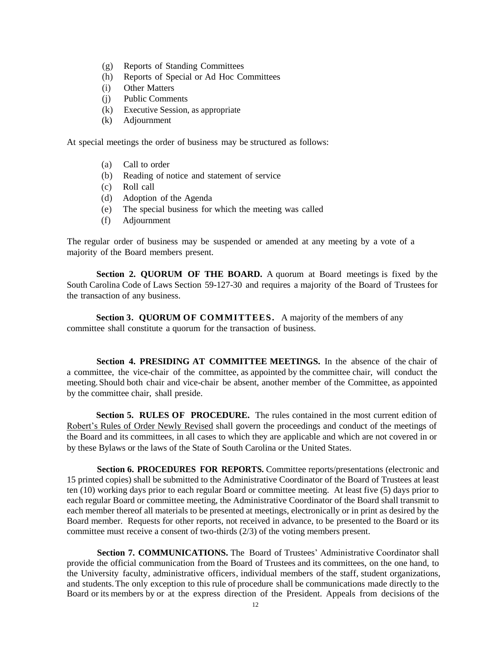- (g) Reports of Standing Committees
- (h) Reports of Special or Ad Hoc Committees
- (i) Other Matters
- (j) Public Comments
- (k) Executive Session, as appropriate
- (k) Adjournment

At special meetings the order of business may be structured as follows:

- (a) Call to order
- (b) Reading of notice and statement of service
- (c) Roll call
- (d) Adoption of the Agenda
- (e) The special business for which the meeting was called
- (f) Adjournment

The regular order of business may be suspended or amended at any meeting by a vote of a majority of the Board members present.

**Section 2. QUORUM OF THE BOARD.** A quorum at Board meetings is fixed by the South Carolina Code of Laws Section 59-127-30 and requires a majority of the Board of Trustees for the transaction of any business.

**Section 3. QUORUM OF COMMITTEES.** A majority of the members of any committee shall constitute a quorum for the transaction of business.

**Section 4. PRESIDING AT COMMITTEE MEETINGS.** In the absence of the chair of a committee, the vice-chair of the committee, as appointed by the committee chair, will conduct the meeting. Should both chair and vice-chair be absent, another member of the Committee, as appointed by the committee chair, shall preside.

**Section 5. RULES OF PROCEDURE.** The rules contained in the most current edition of Robert's Rules of Order Newly Revised shall govern the proceedings and conduct of the meetings of the Board and its committees, in all cases to which they are applicable and which are not covered in or by these Bylaws or the laws of the State of South Carolina or the United States.

**Section 6. PROCEDURES FOR REPORTS.** Committee reports/presentations (electronic and 15 printed copies) shall be submitted to the Administrative Coordinator of the Board of Trustees at least ten (10) working days prior to each regular Board or committee meeting. At least five (5) days prior to each regular Board or committee meeting, the Administrative Coordinator of the Board shall transmit to each member thereof all materials to be presented at meetings, electronically or in print as desired by the Board member. Requests for other reports, not received in advance, to be presented to the Board or its committee must receive a consent of two-thirds (2/3) of the voting members present.

**Section 7. COMMUNICATIONS.** The Board of Trustees' Administrative Coordinator shall provide the official communication from the Board of Trustees and its committees, on the one hand, to the University faculty, administrative officers, individual members of the staff, student organizations, and students. The only exception to this rule of procedure shall be communications made directly to the Board or its members by or at the express direction of the President. Appeals from decisions of the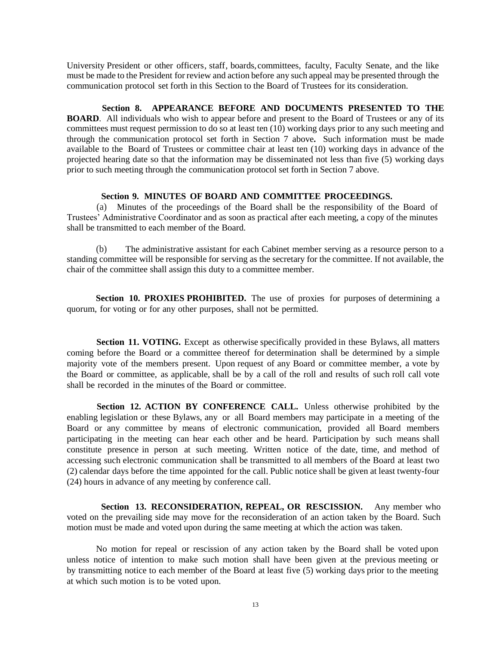University President or other officers, staff, boards,committees, faculty, Faculty Senate, and the like must be made to the President for review and action before any such appeal may be presented through the communication protocol set forth in this Section to the Board of Trustees for its consideration.

#### **Section 8. APPEARANCE BEFORE AND DOCUMENTS PRESENTED TO THE**

**BOARD.** All individuals who wish to appear before and present to the Board of Trustees or any of its committees must request permission to do so at least ten (10) working days prior to any such meeting and through the communication protocol set forth in Section 7 above**.** Such information must be made available to the Board of Trustees or committee chair at least ten (10) working days in advance of the projected hearing date so that the information may be disseminated not less than five (5) working days prior to such meeting through the communication protocol set forth in Section 7 above.

#### <span id="page-12-0"></span>**Section 9. MINUTES OF BOARD AND COMMITTEE PROCEEDINGS.**

(a) Minutes of the proceedings of the Board shall be the responsibility of the Board of Trustees' Administrative Coordinator and as soon as practical after each meeting, a copy of the minutes shall be transmitted to each member of the Board.

(b) The administrative assistant for each Cabinet member serving as a resource person to a standing committee will be responsible for serving as the secretary for the committee. If not available, the chair of the committee shall assign this duty to a committee member.

**Section 10. PROXIES PROHIBITED.** The use of proxies for purposes of determining a quorum, for voting or for any other purposes, shall not be permitted.

**Section 11. VOTING.** Except as otherwise specifically provided in these Bylaws, all matters coming before the Board or a committee thereof for determination shall be determined by a simple majority vote of the members present. Upon request of any Board or committee member, a vote by the Board or committee, as applicable, shall be by a call of the roll and results of such roll call vote shall be recorded in the minutes of the Board or committee.

**Section 12. ACTION BY CONFERENCE CALL.** Unless otherwise prohibited by the enabling legislation or these Bylaws, any or all Board members may participate in a meeting of the Board or any committee by means of electronic communication, provided all Board members participating in the meeting can hear each other and be heard. Participation by such means shall constitute presence in person at such meeting. Written notice of the date, time, and method of accessing such electronic communication shall be transmitted to all members of the Board at least two (2) calendar days before the time appointed for the call. Public notice shall be given at least twenty-four (24) hours in advance of any meeting by conference call.

**Section 13. RECONSIDERATION, REPEAL, OR RESCISSION.** Any member who voted on the prevailing side may move for the reconsideration of an action taken by the Board. Such motion must be made and voted upon during the same meeting at which the action was taken.

No motion for repeal or rescission of any action taken by the Board shall be voted upon unless notice of intention to make such motion shall have been given at the previous meeting or by transmitting notice to each member of the Board at least five (5) working days prior to the meeting at which such motion is to be voted upon.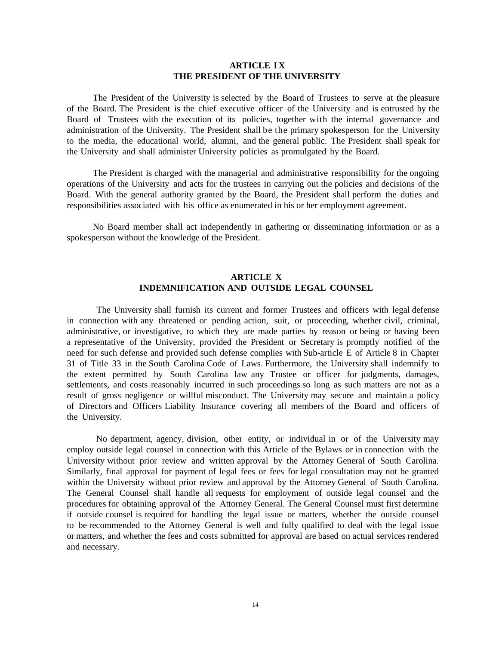# **ARTICLE IX THE PRESIDENT OF THE UNIVERSITY**

The President of the University is selected by the Board of Trustees to serve at the pleasure of the Board. The President is the chief executive officer of the University and is entrusted by the Board of Trustees with the execution of its policies, together with the internal governance and administration of the University. The President shall be the primary spokesperson for the University to the media, the educational world, alumni, and the general public. The President shall speak for the University and shall administer University policies as promulgated by the Board.

The President is charged with the managerial and administrative responsibility for the ongoing operations of the University and acts for the trustees in carrying out the policies and decisions of the Board. With the general authority granted by the Board, the President shall perform the duties and responsibilities associated with his office as enumerated in his or her employment agreement.

No Board member shall act independently in gathering or disseminating information or as a spokesperson without the knowledge of the President.

# **ARTICLE X INDEMNIFICATION AND OUTSIDE LEGAL COUNSEL**

The University shall furnish its current and former Trustees and officers with legal defense in connection with any threatened or pending action, suit, or proceeding, whether civil, criminal, administrative, or investigative, to which they are made parties by reason or being or having been a representative of the University, provided the President or Secretary is promptly notified of the need for such defense and provided such defense complies with Sub-article E of Article 8 in Chapter 31 of Title 33 in the South Carolina Code of Laws. Furthermore, the University shall indemnify to the extent permitted by South Carolina law any Trustee or officer for judgments, damages, settlements, and costs reasonably incurred in such proceedings so long as such matters are not as a result of gross negligence or willful misconduct. The University may secure and maintain a policy of Directors and Officers Liability Insurance covering all members of the Board and officers of the University.

<span id="page-13-0"></span>No department, agency, division, other entity, or individual in or of the University may employ outside legal counsel in connection with this Article of the Bylaws or in connection with the University without prior review and written approval by the Attorney General of South Carolina. Similarly, final approval for payment of legal fees or fees for legal consultation may not be granted within the University without prior review and approval by the Attorney General of South Carolina. The General Counsel shall handle all requests for employment of outside legal counsel and the procedures for obtaining approval of the Attorney General. The General Counsel must first determine if outside counsel is required for handling the legal issue or matters, whether the outside counsel to be recommended to the Attorney General is well and fully qualified to deal with the legal issue or matters, and whether the fees and costs submitted for approval are based on actual services rendered and necessary.